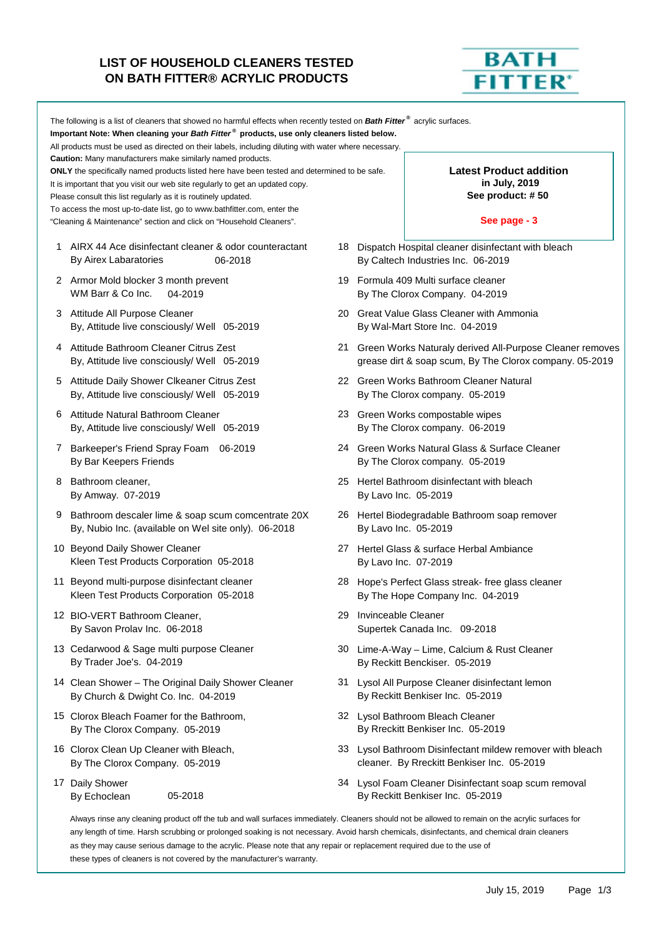## **LIST OF HOUSEHOLD CLEANERS TESTED ON BATH FITTER® ACRYLIC PRODUCTS**



|   | The following is a list of cleaners that showed no harmful effects when recently tested on <b>Bath Fitter<sup>®</sup></b> acrylic surfaces.<br>Important Note: When cleaning your Bath Fitter® products, use only cleaners listed below.<br>All products must be used as directed on their labels, including diluting with water where necessary.<br><b>Caution:</b> Many manufacturers make similarly named products.                                                                                |                                                                     |                                                                                        |                                                                                                                        |  |  |
|---|-------------------------------------------------------------------------------------------------------------------------------------------------------------------------------------------------------------------------------------------------------------------------------------------------------------------------------------------------------------------------------------------------------------------------------------------------------------------------------------------------------|---------------------------------------------------------------------|----------------------------------------------------------------------------------------|------------------------------------------------------------------------------------------------------------------------|--|--|
|   | ONLY the specifically named products listed here have been tested and determined to be safe.<br>It is important that you visit our web site regularly to get an updated copy.<br>Please consult this list regularly as it is routinely updated.<br>To access the most up-to-date list, go to www.bathfitter.com, enter the                                                                                                                                                                            | <b>Latest Product addition</b><br>in July, 2019<br>See product: #50 |                                                                                        |                                                                                                                        |  |  |
|   | "Cleaning & Maintenance" section and click on "Household Cleaners".                                                                                                                                                                                                                                                                                                                                                                                                                                   |                                                                     |                                                                                        | See page - 3                                                                                                           |  |  |
|   | 1 AIRX 44 Ace disinfectant cleaner & odor counteractant<br>By Airex Labaratories<br>06-2018                                                                                                                                                                                                                                                                                                                                                                                                           |                                                                     |                                                                                        | 18 Dispatch Hospital cleaner disinfectant with bleach<br>By Caltech Industries Inc. 06-2019                            |  |  |
|   | 2 Armor Mold blocker 3 month prevent<br>WM Barr & Co Inc.<br>04-2019                                                                                                                                                                                                                                                                                                                                                                                                                                  |                                                                     |                                                                                        | 19 Formula 409 Multi surface cleaner<br>By The Clorox Company. 04-2019                                                 |  |  |
|   | 3 Attitude All Purpose Cleaner<br>By, Attitude live consciously/ Well 05-2019                                                                                                                                                                                                                                                                                                                                                                                                                         |                                                                     |                                                                                        | 20 Great Value Glass Cleaner with Ammonia<br>By Wal-Mart Store Inc. 04-2019                                            |  |  |
|   | 4 Attitude Bathroom Cleaner Citrus Zest<br>By, Attitude live consciously/ Well 05-2019                                                                                                                                                                                                                                                                                                                                                                                                                |                                                                     |                                                                                        | 21 Green Works Naturaly derived All-Purpose Cleaner removes<br>grease dirt & soap scum, By The Clorox company. 05-2019 |  |  |
|   | 5 Attitude Daily Shower Clkeaner Citrus Zest<br>By, Attitude live consciously/ Well 05-2019                                                                                                                                                                                                                                                                                                                                                                                                           |                                                                     |                                                                                        | 22 Green Works Bathroom Cleaner Natural<br>By The Clorox company. 05-2019                                              |  |  |
| 6 | Attitude Natural Bathroom Cleaner<br>By, Attitude live consciously/ Well 05-2019                                                                                                                                                                                                                                                                                                                                                                                                                      |                                                                     | 23 Green Works compostable wipes<br>By The Clorox company. 06-2019                     |                                                                                                                        |  |  |
|   | 7 Barkeeper's Friend Spray Foam 06-2019<br>By Bar Keepers Friends                                                                                                                                                                                                                                                                                                                                                                                                                                     |                                                                     | 24 Green Works Natural Glass & Surface Cleaner<br>By The Clorox company. 05-2019       |                                                                                                                        |  |  |
| 8 | Bathroom cleaner,<br>By Amway. 07-2019                                                                                                                                                                                                                                                                                                                                                                                                                                                                |                                                                     | 25 Hertel Bathroom disinfectant with bleach<br>By Lavo Inc. 05-2019                    |                                                                                                                        |  |  |
| 9 | Bathroom descaler lime & soap scum comcentrate 20X<br>By, Nubio Inc. (available on Wel site only). 06-2018                                                                                                                                                                                                                                                                                                                                                                                            |                                                                     | 26 Hertel Biodegradable Bathroom soap remover<br>By Lavo Inc. 05-2019                  |                                                                                                                        |  |  |
|   | 10 Beyond Daily Shower Cleaner<br>Kleen Test Products Corporation 05-2018                                                                                                                                                                                                                                                                                                                                                                                                                             |                                                                     |                                                                                        | 27 Hertel Glass & surface Herbal Ambiance<br>By Lavo Inc. 07-2019                                                      |  |  |
|   | 11 Beyond multi-purpose disinfectant cleaner<br>Kleen Test Products Corporation 05-2018                                                                                                                                                                                                                                                                                                                                                                                                               |                                                                     | 28 Hope's Perfect Glass streak- free glass cleaner<br>By The Hope Company Inc. 04-2019 |                                                                                                                        |  |  |
|   | 12 BIO-VERT Bathroom Cleaner,<br>By Savon Prolav Inc. 06-2018                                                                                                                                                                                                                                                                                                                                                                                                                                         | 29                                                                  | Invinceable Cleaner                                                                    | Supertek Canada Inc. 09-2018                                                                                           |  |  |
|   | 13 Cedarwood & Sage multi purpose Cleaner<br>By Trader Joe's. 04-2019                                                                                                                                                                                                                                                                                                                                                                                                                                 |                                                                     |                                                                                        | 30 Lime-A-Way - Lime, Calcium & Rust Cleaner<br>By Reckitt Benckiser. 05-2019                                          |  |  |
|   | 14 Clean Shower - The Original Daily Shower Cleaner<br>By Church & Dwight Co. Inc. 04-2019                                                                                                                                                                                                                                                                                                                                                                                                            | 31.                                                                 |                                                                                        | Lysol All Purpose Cleaner disinfectant lemon<br>By Reckitt Benkiser Inc. 05-2019                                       |  |  |
|   | 15 Clorox Bleach Foamer for the Bathroom,<br>By The Clorox Company. 05-2019                                                                                                                                                                                                                                                                                                                                                                                                                           |                                                                     |                                                                                        | 32 Lysol Bathroom Bleach Cleaner<br>By Rreckitt Benkiser Inc. 05-2019                                                  |  |  |
|   | 16 Clorox Clean Up Cleaner with Bleach,<br>By The Clorox Company. 05-2019                                                                                                                                                                                                                                                                                                                                                                                                                             |                                                                     |                                                                                        | 33 Lysol Bathroom Disinfectant mildew remover with bleach<br>cleaner. By Rreckitt Benkiser Inc. 05-2019                |  |  |
|   | 17 Daily Shower<br>05-2018<br>By Echoclean                                                                                                                                                                                                                                                                                                                                                                                                                                                            |                                                                     |                                                                                        | 34 Lysol Foam Cleaner Disinfectant soap scum removal<br>By Reckitt Benkiser Inc. 05-2019                               |  |  |
|   | Always rinse any cleaning product off the tub and wall surfaces immediately. Cleaners should not be allowed to remain on the acrylic surfaces for<br>any length of time. Harsh scrubbing or prolonged soaking is not necessary. Avoid harsh chemicals, disinfectants, and chemical drain cleaners<br>as they may cause serious damage to the acrylic. Please note that any repair or replacement required due to the use of<br>these types of cleaners is not covered by the manufacturer's warranty. |                                                                     |                                                                                        |                                                                                                                        |  |  |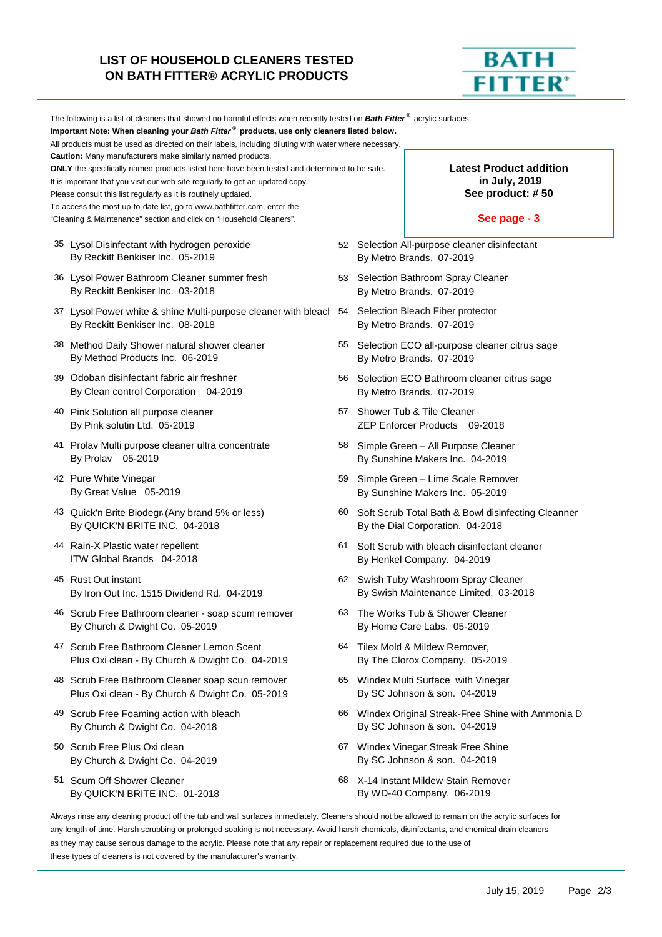## **LIST OF HOUSEHOLD CLEANERS TESTED ON BATH FITTER® ACRYLIC PRODUCTS**



|                                                                                                                                                                                                                                                                                                                                                                                                                                                                                                       | The following is a list of cleaners that showed no harmful effects when recently tested on Bath Fitter <sup>®</sup> acrylic surfaces.<br>Important Note: When cleaning your Bath Fitter® products, use only cleaners listed below.<br>All products must be used as directed on their labels, including diluting with water where necessary.<br><b>Caution:</b> Many manufacturers make similarly named products.<br><b>ONLY</b> the specifically named products listed here have been tested and determined to be safe.<br>It is important that you visit our web site regularly to get an updated copy.<br>Please consult this list regularly as it is routinely updated.<br>To access the most up-to-date list, go to www.bathfitter.com, enter the<br>"Cleaning & Maintenance" section and click on "Household Cleaners". |    | <b>Latest Product addition</b><br>in July, 2019<br>See product: #50<br>See page - 3 |                                                                                        |  |  |
|-------------------------------------------------------------------------------------------------------------------------------------------------------------------------------------------------------------------------------------------------------------------------------------------------------------------------------------------------------------------------------------------------------------------------------------------------------------------------------------------------------|------------------------------------------------------------------------------------------------------------------------------------------------------------------------------------------------------------------------------------------------------------------------------------------------------------------------------------------------------------------------------------------------------------------------------------------------------------------------------------------------------------------------------------------------------------------------------------------------------------------------------------------------------------------------------------------------------------------------------------------------------------------------------------------------------------------------------|----|-------------------------------------------------------------------------------------|----------------------------------------------------------------------------------------|--|--|
|                                                                                                                                                                                                                                                                                                                                                                                                                                                                                                       | 35 Lysol Disinfectant with hydrogen peroxide<br>By Reckitt Benkiser Inc. 05-2019                                                                                                                                                                                                                                                                                                                                                                                                                                                                                                                                                                                                                                                                                                                                             |    | By Metro Brands. 07-2019                                                            | 52 Selection All-purpose cleaner disinfectant                                          |  |  |
|                                                                                                                                                                                                                                                                                                                                                                                                                                                                                                       | 36 Lysol Power Bathroom Cleaner summer fresh<br>By Reckitt Benkiser Inc. 03-2018                                                                                                                                                                                                                                                                                                                                                                                                                                                                                                                                                                                                                                                                                                                                             |    | By Metro Brands. 07-2019                                                            | 53 Selection Bathroom Spray Cleaner                                                    |  |  |
|                                                                                                                                                                                                                                                                                                                                                                                                                                                                                                       | 37 Lysol Power white & shine Multi-purpose cleaner with bleach 54<br>By Reckitt Benkiser Inc. 08-2018                                                                                                                                                                                                                                                                                                                                                                                                                                                                                                                                                                                                                                                                                                                        |    | Selection Bleach Fiber protector<br>By Metro Brands. 07-2019                        |                                                                                        |  |  |
|                                                                                                                                                                                                                                                                                                                                                                                                                                                                                                       | 38 Method Daily Shower natural shower cleaner<br>By Method Products Inc. 06-2019                                                                                                                                                                                                                                                                                                                                                                                                                                                                                                                                                                                                                                                                                                                                             | 55 | Selection ECO all-purpose cleaner citrus sage<br>By Metro Brands. 07-2019           |                                                                                        |  |  |
|                                                                                                                                                                                                                                                                                                                                                                                                                                                                                                       | 39 Odoban disinfectant fabric air freshner<br>By Clean control Corporation 04-2019                                                                                                                                                                                                                                                                                                                                                                                                                                                                                                                                                                                                                                                                                                                                           |    | 56 Selection ECO Bathroom cleaner citrus sage<br>By Metro Brands. 07-2019           |                                                                                        |  |  |
|                                                                                                                                                                                                                                                                                                                                                                                                                                                                                                       | 40 Pink Solution all purpose cleaner<br>By Pink solutin Ltd. 05-2019                                                                                                                                                                                                                                                                                                                                                                                                                                                                                                                                                                                                                                                                                                                                                         | 57 | Shower Tub & Tile Cleaner<br>ZEP Enforcer Products 09-2018                          |                                                                                        |  |  |
|                                                                                                                                                                                                                                                                                                                                                                                                                                                                                                       | 41 Prolav Multi purpose cleaner ultra concentrate<br>By Prolav 05-2019                                                                                                                                                                                                                                                                                                                                                                                                                                                                                                                                                                                                                                                                                                                                                       | 58 |                                                                                     | Simple Green - All Purpose Cleaner<br>By Sunshine Makers Inc. 04-2019                  |  |  |
|                                                                                                                                                                                                                                                                                                                                                                                                                                                                                                       | 42 Pure White Vinegar<br>By Great Value 05-2019                                                                                                                                                                                                                                                                                                                                                                                                                                                                                                                                                                                                                                                                                                                                                                              | 59 |                                                                                     | Simple Green - Lime Scale Remover<br>By Sunshine Makers Inc. 05-2019                   |  |  |
|                                                                                                                                                                                                                                                                                                                                                                                                                                                                                                       | 43 Quick'n Brite Biodegr (Any brand 5% or less)<br>By QUICK'N BRITE INC. 04-2018                                                                                                                                                                                                                                                                                                                                                                                                                                                                                                                                                                                                                                                                                                                                             | 60 |                                                                                     | Soft Scrub Total Bath & Bowl disinfecting Cleanner<br>By the Dial Corporation. 04-2018 |  |  |
|                                                                                                                                                                                                                                                                                                                                                                                                                                                                                                       | 44 Rain-X Plastic water repellent<br>ITW Global Brands 04-2018                                                                                                                                                                                                                                                                                                                                                                                                                                                                                                                                                                                                                                                                                                                                                               | 61 | By Henkel Company. 04-2019                                                          | Soft Scrub with bleach disinfectant cleaner                                            |  |  |
|                                                                                                                                                                                                                                                                                                                                                                                                                                                                                                       | 45 Rust Out instant<br>By Iron Out Inc. 1515 Dividend Rd. 04-2019                                                                                                                                                                                                                                                                                                                                                                                                                                                                                                                                                                                                                                                                                                                                                            |    | 62 Swish Tuby Washroom Spray Cleaner<br>By Swish Maintenance Limited. 03-2018       |                                                                                        |  |  |
|                                                                                                                                                                                                                                                                                                                                                                                                                                                                                                       | 46 Scrub Free Bathroom cleaner - soap scum remover<br>By Church & Dwight Co. 05-2019                                                                                                                                                                                                                                                                                                                                                                                                                                                                                                                                                                                                                                                                                                                                         |    | 63 The Works Tub & Shower Cleaner<br>By Home Care Labs. 05-2019                     |                                                                                        |  |  |
|                                                                                                                                                                                                                                                                                                                                                                                                                                                                                                       | 47 Scrub Free Bathroom Cleaner Lemon Scent<br>Plus Oxi clean - By Church & Dwight Co. 04-2019                                                                                                                                                                                                                                                                                                                                                                                                                                                                                                                                                                                                                                                                                                                                | 64 | Tilex Mold & Mildew Remover,                                                        | By The Clorox Company. 05-2019                                                         |  |  |
|                                                                                                                                                                                                                                                                                                                                                                                                                                                                                                       | 48 Scrub Free Bathroom Cleaner soap scun remover<br>Plus Oxi clean - By Church & Dwight Co. 05-2019                                                                                                                                                                                                                                                                                                                                                                                                                                                                                                                                                                                                                                                                                                                          |    | By SC Johnson & son. 04-2019                                                        | 65 Windex Multi Surface with Vinegar                                                   |  |  |
|                                                                                                                                                                                                                                                                                                                                                                                                                                                                                                       | 49 Scrub Free Foaming action with bleach<br>By Church & Dwight Co. 04-2018                                                                                                                                                                                                                                                                                                                                                                                                                                                                                                                                                                                                                                                                                                                                                   | 66 | By SC Johnson & son. 04-2019                                                        | Windex Original Streak-Free Shine with Ammonia D                                       |  |  |
|                                                                                                                                                                                                                                                                                                                                                                                                                                                                                                       | 50 Scrub Free Plus Oxi clean<br>By Church & Dwight Co. 04-2019                                                                                                                                                                                                                                                                                                                                                                                                                                                                                                                                                                                                                                                                                                                                                               |    | By SC Johnson & son. 04-2019                                                        | 67 Windex Vinegar Streak Free Shine                                                    |  |  |
|                                                                                                                                                                                                                                                                                                                                                                                                                                                                                                       | 51 Scum Off Shower Cleaner<br>By QUICK'N BRITE INC. 01-2018                                                                                                                                                                                                                                                                                                                                                                                                                                                                                                                                                                                                                                                                                                                                                                  |    | By WD-40 Company. 06-2019                                                           | 68 X-14 Instant Mildew Stain Remover                                                   |  |  |
| Always rinse any cleaning product off the tub and wall surfaces immediately. Cleaners should not be allowed to remain on the acrylic surfaces for<br>any length of time. Harsh scrubbing or prolonged soaking is not necessary. Avoid harsh chemicals, disinfectants, and chemical drain cleaners<br>as they may cause serious damage to the acrylic. Please note that any repair or replacement required due to the use of<br>these types of cleaners is not covered by the manufacturer's warranty. |                                                                                                                                                                                                                                                                                                                                                                                                                                                                                                                                                                                                                                                                                                                                                                                                                              |    |                                                                                     |                                                                                        |  |  |